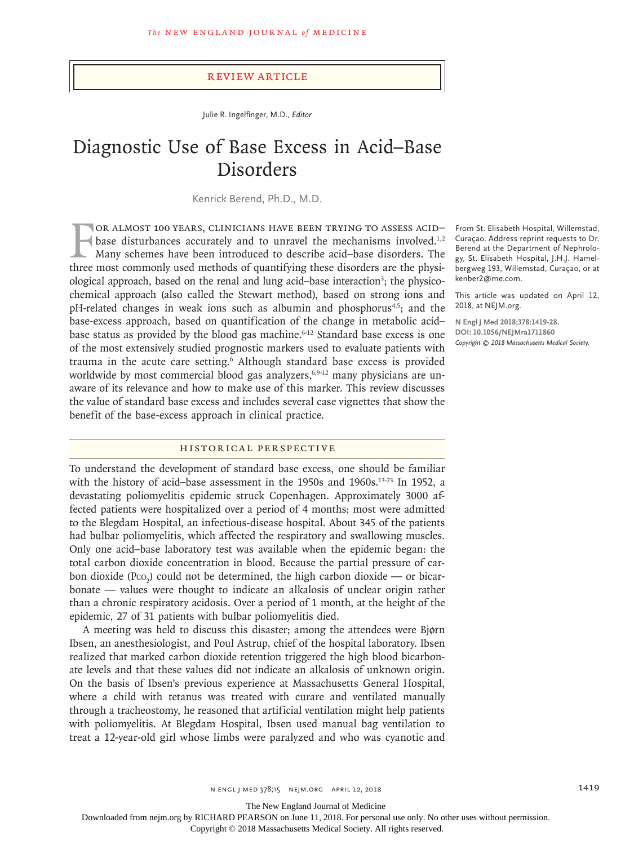## Review Article

Julie R. Ingelfinger, M.D., *Editor*

# Diagnostic Use of Base Excess in Acid–Base Disorders

Kenrick Berend, Ph.D., M.D.

FOR ALMOST 100 YEARS, CLINICIANS HAVE BEEN TRYING TO ASSESS ACID-<br>base disturbances accurately and to unravel the mechanisms involved.<sup>1,2</sup><br>Many schemes have been introduced to describe acid-base disorders. The<br>three most or almost 100 years, clinicians have been trying to assess acid– base disturbances accurately and to unravel the mechanisms involved.<sup>1,2</sup> Many schemes have been introduced to describe acid–base disorders. The ological approach, based on the renal and lung acid-base interaction<sup>3</sup>; the physicochemical approach (also called the Stewart method), based on strong ions and pH-related changes in weak ions such as albumin and phosphorus4,5; and the base-excess approach, based on quantification of the change in metabolic acid– base status as provided by the blood gas machine.<sup>6-12</sup> Standard base excess is one of the most extensively studied prognostic markers used to evaluate patients with trauma in the acute care setting.<sup>6</sup> Although standard base excess is provided worldwide by most commercial blood gas analyzers,<sup>6,9-12</sup> many physicians are unaware of its relevance and how to make use of this marker. This review discusses the value of standard base excess and includes several case vignettes that show the benefit of the base-excess approach in clinical practice.

# Historical Perspective

To understand the development of standard base excess, one should be familiar with the history of acid-base assessment in the 1950s and 1960s.<sup>13-23</sup> In 1952, a devastating poliomyelitis epidemic struck Copenhagen. Approximately 3000 affected patients were hospitalized over a period of 4 months; most were admitted to the Blegdam Hospital, an infectious-disease hospital. About 345 of the patients had bulbar poliomyelitis, which affected the respiratory and swallowing muscles. Only one acid–base laboratory test was available when the epidemic began: the total carbon dioxide concentration in blood. Because the partial pressure of carbon dioxide (P $\text{co}_2$ ) could not be determined, the high carbon dioxide — or bicarbonate — values were thought to indicate an alkalosis of unclear origin rather than a chronic respiratory acidosis. Over a period of 1 month, at the height of the epidemic, 27 of 31 patients with bulbar poliomyelitis died.

A meeting was held to discuss this disaster; among the attendees were Bjørn Ibsen, an anesthesiologist, and Poul Astrup, chief of the hospital laboratory. Ibsen realized that marked carbon dioxide retention triggered the high blood bicarbonate levels and that these values did not indicate an alkalosis of unknown origin. On the basis of Ibsen's previous experience at Massachusetts General Hospital, where a child with tetanus was treated with curare and ventilated manually through a tracheostomy, he reasoned that artificial ventilation might help patients with poliomyelitis. At Blegdam Hospital, Ibsen used manual bag ventilation to treat a 12-year-old girl whose limbs were paralyzed and who was cyanotic and

From St. Elisabeth Hospital, Willemstad, Curaçao. Address reprint requests to Dr. Berend at the Department of Nephrology, St. Elisabeth Hospital, J.H.J. Hamelbergweg 193, Willemstad, Curaçao, or at kenber2@me.com.

This article was updated on April 12, 2018, at NEJM.org.

**N Engl J Med 2018;378:1419-28. DOI: 10.1056/NEJMra1711860** *Copyright © 2018 Massachusetts Medical Society.*

The New England Journal of Medicine

Downloaded from nejm.org by RICHARD PEARSON on June 11, 2018. For personal use only. No other uses without permission.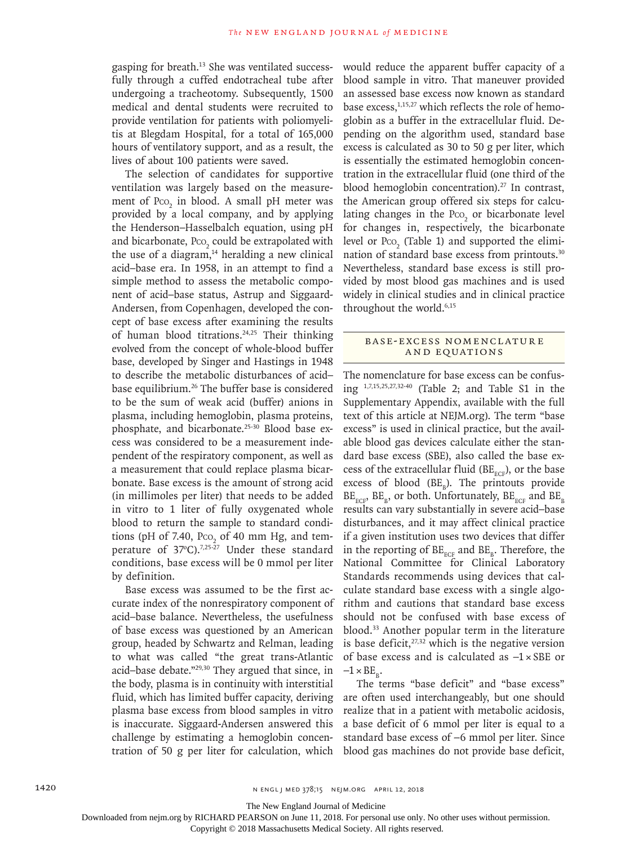gasping for breath.13 She was ventilated successfully through a cuffed endotracheal tube after undergoing a tracheotomy. Subsequently, 1500 medical and dental students were recruited to provide ventilation for patients with poliomyelitis at Blegdam Hospital, for a total of 165,000 hours of ventilatory support, and as a result, the lives of about 100 patients were saved.

The selection of candidates for supportive ventilation was largely based on the measurement of  $PCO<sub>2</sub>$  in blood. A small pH meter was provided by a local company, and by applying the Henderson–Hasselbalch equation, using pH and bicarbonate,  $P_{\text{CO}_2}$  could be extrapolated with the use of a diagram, $14$  heralding a new clinical acid–base era. In 1958, in an attempt to find a simple method to assess the metabolic component of acid–base status, Astrup and Siggaard-Andersen, from Copenhagen, developed the concept of base excess after examining the results of human blood titrations.24,25 Their thinking evolved from the concept of whole-blood buffer base, developed by Singer and Hastings in 1948 to describe the metabolic disturbances of acid– base equilibrium.26 The buffer base is considered to be the sum of weak acid (buffer) anions in plasma, including hemoglobin, plasma proteins, phosphate, and bicarbonate.25-30 Blood base excess was considered to be a measurement independent of the respiratory component, as well as a measurement that could replace plasma bicarbonate. Base excess is the amount of strong acid (in millimoles per liter) that needs to be added in vitro to 1 liter of fully oxygenated whole blood to return the sample to standard conditions (pH of 7.40,  $Pco<sub>2</sub>$  of 40 mm Hg, and temperature of 37°C).<sup>7,25-27</sup> Under these standard conditions, base excess will be 0 mmol per liter by definition.

Base excess was assumed to be the first accurate index of the nonrespiratory component of acid–base balance. Nevertheless, the usefulness of base excess was questioned by an American group, headed by Schwartz and Relman, leading to what was called "the great trans-Atlantic acid–base debate."29,30 They argued that since, in the body, plasma is in continuity with interstitial fluid, which has limited buffer capacity, deriving plasma base excess from blood samples in vitro is inaccurate. Siggaard-Andersen answered this challenge by estimating a hemoglobin concentration of 50 g per liter for calculation, which

would reduce the apparent buffer capacity of a blood sample in vitro. That maneuver provided an assessed base excess now known as standard base excess,<sup>1,15,27</sup> which reflects the role of hemoglobin as a buffer in the extracellular fluid. Depending on the algorithm used, standard base excess is calculated as 30 to 50 g per liter, which is essentially the estimated hemoglobin concentration in the extracellular fluid (one third of the blood hemoglobin concentration). $27$  In contrast, the American group offered six steps for calculating changes in the  $PCO<sub>2</sub>$  or bicarbonate level for changes in, respectively, the bicarbonate level or  $Pco<sub>2</sub>$  (Table 1) and supported the elimination of standard base excess from printouts.30 Nevertheless, standard base excess is still provided by most blood gas machines and is used widely in clinical studies and in clinical practice throughout the world.<sup>6,15</sup>

# BASE-EXCESS NOMENCLATURE and Equations

The nomenclature for base excess can be confusing 1,7,15,25,27,32-40 (Table 2; and Table S1 in the Supplementary Appendix, available with the full text of this article at NEJM.org). The term "base excess" is used in clinical practice, but the available blood gas devices calculate either the standard base excess (SBE), also called the base excess of the extracellular fluid ( $BE<sub>ECF</sub>$ ), or the base excess of blood  $(BE_B)$ . The printouts provide  $BE<sub>BCE</sub>$ , BE<sub>R</sub>, or both. Unfortunately,  $BE<sub>BCE</sub>$  and  $BE<sub>R</sub>$ results can vary substantially in severe acid–base disturbances, and it may affect clinical practice if a given institution uses two devices that differ in the reporting of  $BE<sub>_{ECR}</sub>$  and  $BE<sub>g</sub>$ . Therefore, the National Committee for Clinical Laboratory Standards recommends using devices that calculate standard base excess with a single algorithm and cautions that standard base excess should not be confused with base excess of blood.33 Another popular term in the literature is base deficit, $27,32$  which is the negative version of base excess and is calculated as −1×SBE or  $-1 \times BE_{p}$ .

The terms "base deficit" and "base excess" are often used interchangeably, but one should realize that in a patient with metabolic acidosis, a base deficit of 6 mmol per liter is equal to a standard base excess of −6 mmol per liter. Since blood gas machines do not provide base deficit,

The New England Journal of Medicine

Downloaded from nejm.org by RICHARD PEARSON on June 11, 2018. For personal use only. No other uses without permission.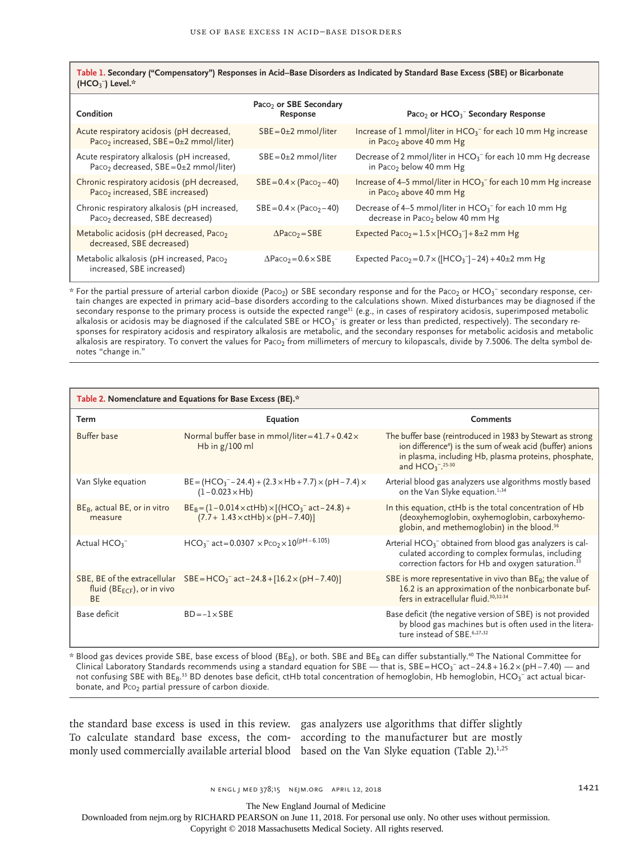**Table 1. Secondary ("Compensatory") Responses in Acid–Base Disorders as Indicated by Standard Base Excess (SBE) or Bicarbonate (HCO**<sup>3</sup> − **) Level.\***

| Condition                                                                                              | Paco <sub>2</sub> or SBE Secondary<br>Response | Paco <sub>2</sub> or HCO <sub>3</sub> <sup>-</sup> Secondary Response                                                |
|--------------------------------------------------------------------------------------------------------|------------------------------------------------|----------------------------------------------------------------------------------------------------------------------|
| Acute respiratory acidosis (pH decreased,<br>Paco <sub>2</sub> increased, $SBE = 0 \pm 2$ mmol/liter)  | $SBE = 0 \pm 2$ mmol/liter                     | Increase of 1 mmol/liter in $HCO_3^-$ for each 10 mm Hg increase<br>in Paco <sub>2</sub> above 40 mm Hg              |
| Acute respiratory alkalosis (pH increased,<br>Paco <sub>2</sub> decreased, $SBE = 0 \pm 2$ mmol/liter) | $SBE = 0 \pm 2$ mmol/liter                     | Decrease of 2 mmol/liter in $HCO_3$ <sup>-</sup> for each 10 mm Hg decrease<br>in Paco <sub>2</sub> below 40 mm Hg   |
| Chronic respiratory acidosis (pH decreased,<br>Paco <sub>2</sub> increased, SBE increased)             | $SBE = 0.4 \times (Paco_2 - 40)$               | Increase of 4–5 mmol/liter in $HCO_3$ <sup>-</sup> for each 10 mm Hg increase<br>in Paco <sub>2</sub> above 40 mm Hg |
| Chronic respiratory alkalosis (pH increased,<br>Paco <sub>2</sub> decreased, SBE decreased)            | $SBE = 0.4 \times (Paco_2 - 40)$               | Decrease of 4–5 mmol/liter in $HCO_3^-$ for each 10 mm Hg<br>decrease in Paco <sub>2</sub> below 40 mm Hg            |
| Metabolic acidosis (pH decreased, Paco <sub>2</sub><br>decreased, SBE decreased)                       | $\Delta$ Paco <sub>2</sub> = SBE               | Expected Paco <sub>2</sub> = $1.5 \times$ [HCO <sub>3</sub> <sup>-</sup> ] + 8±2 mm Hg                               |
| Metabolic alkalosis (pH increased, Paco <sub>2</sub><br>increased, SBE increased)                      | $\Delta$ Paco <sub>2</sub> = 0.6 $\times$ SBE  | Expected Paco <sub>2</sub> = $0.7 \times ($ [HCO <sub>3</sub> <sup>-</sup> ] – 24) + 40±2 mm Hg                      |

 $*$  For the partial pressure of arterial carbon dioxide (Paco<sub>2</sub>) or SBE secondary response and for the Paco<sub>2</sub> or HCO<sub>3</sub><sup>-</sup> secondary response, certain changes are expected in primary acid–base disorders according to the calculations shown. Mixed disturbances may be diagnosed if the  $s$ econdary response to the primary process is outside the expected range<sup>31</sup> (e.g., in cases of respiratory acidosis, superimposed metabolic alkalosis or acidosis may be diagnosed if the calculated SBE or HCO $_3^-$  is greater or less than predicted, respectively). The secondary responses for respiratory acidosis and respiratory alkalosis are metabolic, and the secondary responses for metabolic acidosis and metabolic alkalosis are respiratory. To convert the values for Paco<sub>2</sub> from millimeters of mercury to kilopascals, divide by 7.5006. The delta symbol denotes "change in."

| Table 2. Nomenclature and Equations for Base Excess (BE).* |                                                                                                                  |                                                                                                                                                                                                                     |  |  |
|------------------------------------------------------------|------------------------------------------------------------------------------------------------------------------|---------------------------------------------------------------------------------------------------------------------------------------------------------------------------------------------------------------------|--|--|
| Term                                                       | Equation                                                                                                         | <b>Comments</b>                                                                                                                                                                                                     |  |  |
| <b>Buffer</b> base                                         | Normal buffer base in mmol/liter= $41.7 + 0.42 \times$<br>Hb in $g/100$ ml                                       | The buffer base (reintroduced in 1983 by Stewart as strong<br>ion difference <sup>4</sup> ) is the sum of weak acid (buffer) anions<br>in plasma, including Hb, plasma proteins, phosphate,<br>and $HCO_3^{-25.30}$ |  |  |
| Van Slyke equation                                         | $BE = (HCO3-24.4) + (2.3 \times Hb + 7.7) \times (pH – 7.4) \times$<br>$(1 - 0.023 \times Hb)$                   | Arterial blood gas analyzers use algorithms mostly based<br>on the Van Slyke equation. <sup>1,34</sup>                                                                                                              |  |  |
| $BEB$ , actual BE, or in vitro<br>measure                  | $BE_B = (1 - 0.014 \times ctHb) \times [(HCO_3^- act - 24.8) +$<br>$(7.7 + 1.43 \times ctHb) \times (pH - 7.40)$ | In this equation, ctHb is the total concentration of Hb<br>(deoxyhemoglobin, oxyhemoglobin, carboxyhemo-<br>globin, and methemoglobin) in the blood. <sup>36</sup>                                                  |  |  |
| Actual $HCO3$                                              | $HCO_3^-$ act = 0.0307 $\times$ Pco <sub>2</sub> $\times$ 10 <sup>(pH-6.105)</sup>                               | Arterial $HCO3$ obtained from blood gas analyzers is cal-<br>culated according to complex formulas, including<br>correction factors for Hb and oxygen saturation. <sup>33</sup>                                     |  |  |
| fluid ( $BE_{ECF}$ ), or in vivo<br><b>BF</b>              | SBE, BE of the extracellular $SBE = HCO_3^-$ act $-24.8 + [16.2 \times (pH - 7.40)]$                             | SBE is more representative in vivo than $BE_B$ ; the value of<br>16.2 is an approximation of the nonbicarbonate buf-<br>fers in extracellular fluid. <sup>30,32-34</sup>                                            |  |  |
| Base deficit                                               | $BD = -1 \times SBE$                                                                                             | Base deficit (the negative version of SBE) is not provided<br>by blood gas machines but is often used in the litera-<br>ture instead of SBE. <sup>6,27,32</sup>                                                     |  |  |

\* Blood gas devices provide SBE, base excess of blood (BE<sub>B</sub>), or both. SBE and BE<sub>B</sub> can differ substantially.<sup>40</sup> The National Committee for Clinical Laboratory Standards recommends using a standard equation for SBE — that is, SBE=HCO3<sup>-</sup> act−24.8+16.2×(pH−7.40) — and not confusing SBE with BE $_{\rm B}$ .33 BD denotes base deficit, ctHb total concentration of hemoglobin, Hb hemoglobin, HCO3 $^{-}$ act actual bicarbonate, and  $Pco<sub>2</sub>$  partial pressure of carbon dioxide.

the standard base excess is used in this review. gas analyzers use algorithms that differ slightly To calculate standard base excess, the com-according to the manufacturer but are mostly monly used commercially available arterial blood based on the Van Slyke equation (Table 2).<sup>1,25</sup>

N ENGL | MED 378;15 NEJM.ORG APRIL 12, 2018 1421

The New England Journal of Medicine

Downloaded from nejm.org by RICHARD PEARSON on June 11, 2018. For personal use only. No other uses without permission.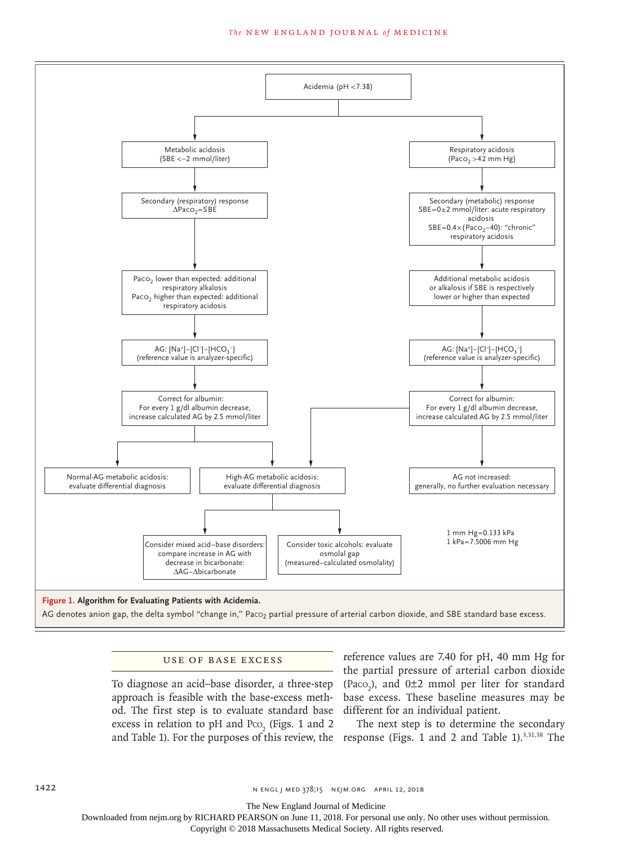#### **The NEW ENGLAND JOURNAL of MEDICINE**



AG denotes anion gap, the delta symbol "change in," Paco<sub>2</sub> partial pressure of arterial carbon dioxide, and SBE standard base excess.

## Use of Base Excess

To diagnose an acid–base disorder, a three-step ( $Paco<sub>2</sub>$ ), and  $0±2$  mmol per liter for standard approach is feasible with the base-excess meth-base excess. These baseline measures may be od. The first step is to evaluate standard base different for an individual patient. excess in relation to pH and  $P_{\text{CO}_2}$  (Figs. 1 and 2

reference values are 7.40 for pH, 40 mm Hg for the partial pressure of arterial carbon dioxide

and Table 1). For the purposes of this review, the response (Figs. 1 and 2 and Table 1). $3,31,38$  The The next step is to determine the secondary

1422 **n engl j med 378;15 nejm.org April 12, 2018** 

The New England Journal of Medicine

Downloaded from nejm.org by RICHARD PEARSON on June 11, 2018. For personal use only. No other uses without permission.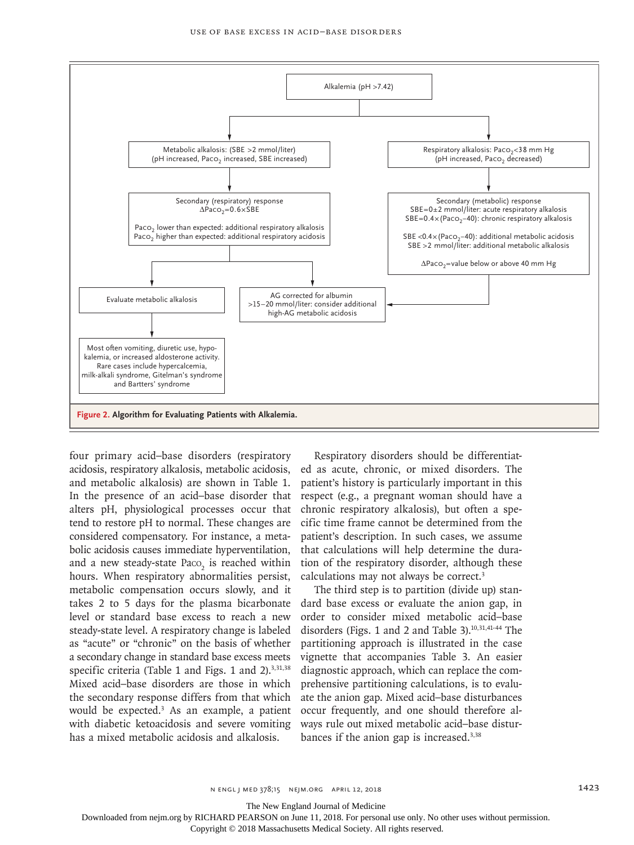

four primary acid–base disorders (respiratory acidosis, respiratory alkalosis, metabolic acidosis, and metabolic alkalosis) are shown in Table 1. In the presence of an acid–base disorder that alters pH, physiological processes occur that tend to restore pH to normal. These changes are considered compensatory. For instance, a metabolic acidosis causes immediate hyperventilation, and a new steady-state  $Paco_2$  is reached within hours. When respiratory abnormalities persist, metabolic compensation occurs slowly, and it takes 2 to 5 days for the plasma bicarbonate level or standard base excess to reach a new steady-state level. A respiratory change is labeled as "acute" or "chronic" on the basis of whether a secondary change in standard base excess meets specific criteria (Table 1 and Figs. 1 and  $2$ ).<sup>3,31,38</sup> Mixed acid–base disorders are those in which the secondary response differs from that which would be expected.3 As an example, a patient with diabetic ketoacidosis and severe vomiting has a mixed metabolic acidosis and alkalosis.

Respiratory disorders should be differentiated as acute, chronic, or mixed disorders. The patient's history is particularly important in this respect (e.g., a pregnant woman should have a chronic respiratory alkalosis), but often a specific time frame cannot be determined from the patient's description. In such cases, we assume that calculations will help determine the duration of the respiratory disorder, although these calculations may not always be correct.<sup>3</sup>

The third step is to partition (divide up) standard base excess or evaluate the anion gap, in order to consider mixed metabolic acid–base disorders (Figs. 1 and 2 and Table 3).<sup>10,31,41-44</sup> The partitioning approach is illustrated in the case vignette that accompanies Table 3. An easier diagnostic approach, which can replace the comprehensive partitioning calculations, is to evaluate the anion gap. Mixed acid–base disturbances occur frequently, and one should therefore always rule out mixed metabolic acid–base disturbances if the anion gap is increased.3,38

The New England Journal of Medicine

Downloaded from nejm.org by RICHARD PEARSON on June 11, 2018. For personal use only. No other uses without permission.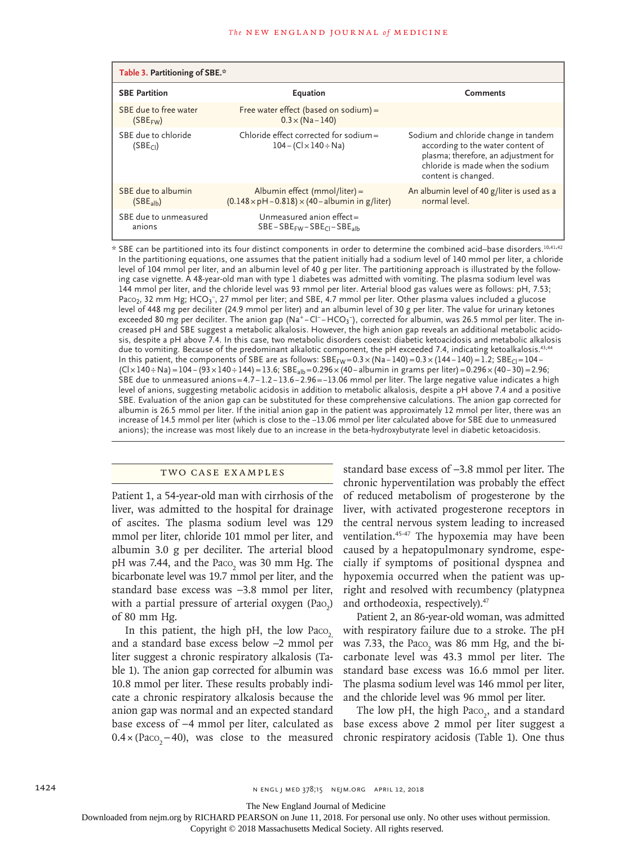| Table 3. Partitioning of SBE.*                |                                                                                               |                                                                                                                                                                              |  |  |
|-----------------------------------------------|-----------------------------------------------------------------------------------------------|------------------------------------------------------------------------------------------------------------------------------------------------------------------------------|--|--|
| <b>SBE Partition</b>                          | Equation                                                                                      | <b>Comments</b>                                                                                                                                                              |  |  |
| SBE due to free water<br>(SBE <sub>FW</sub> ) | Free water effect (based on sodium) =<br>$0.3 \times (Na - 140)$                              |                                                                                                                                                                              |  |  |
| SBE due to chloride<br>(SBE <sub>Cl</sub> )   | Chloride effect corrected for sodium $=$<br>$104 - (Cl \times 140 \div Na)$                   | Sodium and chloride change in tandem<br>according to the water content of<br>plasma; therefore, an adjustment for<br>chloride is made when the sodium<br>content is changed. |  |  |
| SBE due to albumin<br>(SBE <sub>alb</sub> )   | Albumin effect (mmol/liter) =<br>$(0.148 \times pH - 0.818) \times (40 - albumin in g/liter)$ | An albumin level of 40 g/liter is used as a<br>normal level.                                                                                                                 |  |  |
| SBE due to unmeasured<br>anions               | Unmeasured anion effect=<br>$SBE-SBE_{FW} - SBE_{Cl} - SBE_{slb}$                             |                                                                                                                                                                              |  |  |

\* SBE can be partitioned into its four distinct components in order to determine the combined acid–base disorders.10,41,42 In the partitioning equations, one assumes that the patient initially had a sodium level of 140 mmol per liter, a chloride level of 104 mmol per liter, and an albumin level of 40 g per liter. The partitioning approach is illustrated by the following case vignette. A 48-year-old man with type 1 diabetes was admitted with vomiting. The plasma sodium level was 144 mmol per liter, and the chloride level was 93 mmol per liter. Arterial blood gas values were as follows: pH, 7.53; Paco<sub>2</sub>, 32 mm Hg; HCO<sub>3</sub>-, 27 mmol per liter; and SBE, 4.7 mmol per liter. Other plasma values included a glucose level of 448 mg per deciliter (24.9 mmol per liter) and an albumin level of 30 g per liter. The value for urinary ketones exceeded 80 mg per deciliter. The anion gap (Na<sup>+</sup>−Cl<sup>−</sup>−HCO<sub>3</sub>¯), corrected for albumin, was 26.5 mmol per liter. The increased pH and SBE suggest a metabolic alkalosis. However, the high anion gap reveals an additional metabolic acidosis, despite a pH above 7.4. In this case, two metabolic disorders coexist: diabetic ketoacidosis and metabolic alkalosis due to vomiting. Because of the predominant alkalotic component, the pH exceeded 7.4, indicating ketoalkalosis.<sup>43,44</sup> In this patient, the components of SBE are as follows: SBE<sub>FW</sub> =  $0.3 \times (Na - 140)$  =  $0.3 \times (144 - 140)$  = 1.2; SBE<sub>Cl</sub> = 104 −  $(Cl \times 140 + Na) = 104 - (93 \times 140 + 144) = 13.6$ ;  $SE_{alb} = 0.296 \times (40 - 100)$  albumin in grams per liter) = 0.296 × (40−30) = 2.96; SBE due to unmeasured anions=4.7− 1.2− 13.6−2.96=−13.06 mmol per liter. The large negative value indicates a high level of anions, suggesting metabolic acidosis in addition to metabolic alkalosis, despite a pH above 7.4 and a positive SBE. Evaluation of the anion gap can be substituted for these comprehensive calculations. The anion gap corrected for albumin is 26.5 mmol per liter. If the initial anion gap in the patient was approximately 12 mmol per liter, there was an increase of 14.5 mmol per liter (which is close to the −13.06 mmol per liter calculated above for SBE due to unmeasured anions); the increase was most likely due to an increase in the beta-hydroxybutyrate level in diabetic ketoacidosis.

### Two Case Examples

Patient 1, a 54-year-old man with cirrhosis of the liver, was admitted to the hospital for drainage of ascites. The plasma sodium level was 129 mmol per liter, chloride 101 mmol per liter, and albumin 3.0 g per deciliter. The arterial blood pH was 7.44, and the  $Paco_2$  was 30 mm Hg. The bicarbonate level was 19.7 mmol per liter, and the standard base excess was −3.8 mmol per liter, with a partial pressure of arterial oxygen  $(Pao_2)$ of 80 mm Hg.

In this patient, the high pH, the low Paco, and a standard base excess below −2 mmol per liter suggest a chronic respiratory alkalosis (Table 1). The anion gap corrected for albumin was 10.8 mmol per liter. These results probably indicate a chronic respiratory alkalosis because the anion gap was normal and an expected standard base excess of −4 mmol per liter, calculated as  $0.4 \times (Paco_2-40)$ , was close to the measured standard base excess of −3.8 mmol per liter. The chronic hyperventilation was probably the effect of reduced metabolism of progesterone by the liver, with activated progesterone receptors in the central nervous system leading to increased ventilation.45-47 The hypoxemia may have been caused by a hepatopulmonary syndrome, especially if symptoms of positional dyspnea and hypoxemia occurred when the patient was upright and resolved with recumbency (platypnea and orthodeoxia, respectively).47

Patient 2, an 86-year-old woman, was admitted with respiratory failure due to a stroke. The pH was 7.33, the  $Paco_2$  was 86 mm Hg, and the bicarbonate level was 43.3 mmol per liter. The standard base excess was 16.6 mmol per liter. The plasma sodium level was 146 mmol per liter, and the chloride level was 96 mmol per liter.

The low pH, the high  $Paco<sub>2</sub>$ , and a standard base excess above 2 mmol per liter suggest a chronic respiratory acidosis (Table 1). One thus

The New England Journal of Medicine

Downloaded from nejm.org by RICHARD PEARSON on June 11, 2018. For personal use only. No other uses without permission.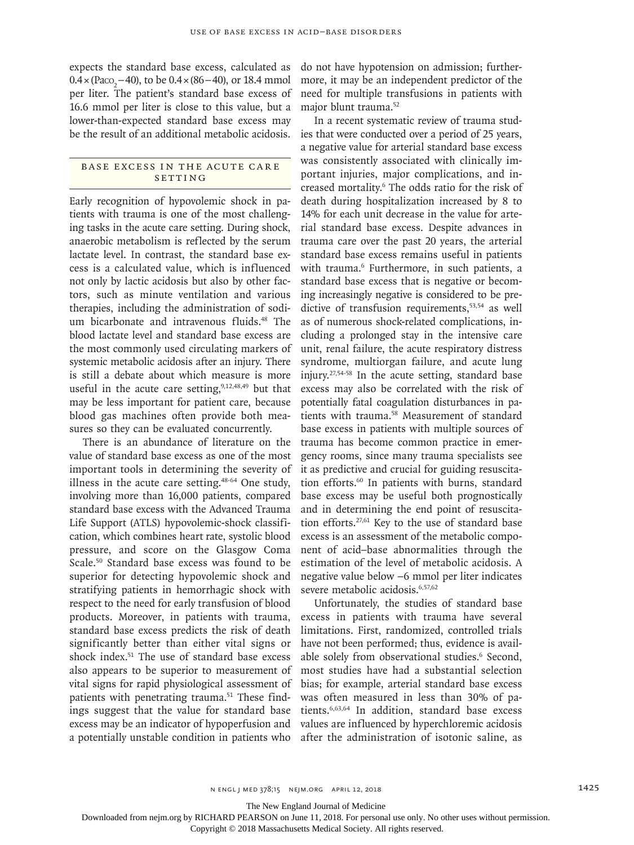expects the standard base excess, calculated as  $0.4 \times (P_{ACO_2} - 40)$ , to be  $0.4 \times (86 - 40)$ , or 18.4 mmol per liter. The patient's standard base excess of 16.6 mmol per liter is close to this value, but a lower-than-expected standard base excess may be the result of an additional metabolic acidosis.

## BASE EXCESS IN THE ACUTE CARE SETTING

Early recognition of hypovolemic shock in patients with trauma is one of the most challenging tasks in the acute care setting. During shock, anaerobic metabolism is reflected by the serum lactate level. In contrast, the standard base excess is a calculated value, which is influenced not only by lactic acidosis but also by other factors, such as minute ventilation and various therapies, including the administration of sodium bicarbonate and intravenous fluids.<sup>48</sup> The blood lactate level and standard base excess are the most commonly used circulating markers of systemic metabolic acidosis after an injury. There is still a debate about which measure is more useful in the acute care setting, $9,12,48,49$  but that may be less important for patient care, because blood gas machines often provide both measures so they can be evaluated concurrently.

There is an abundance of literature on the value of standard base excess as one of the most important tools in determining the severity of illness in the acute care setting.48-64 One study, involving more than 16,000 patients, compared standard base excess with the Advanced Trauma Life Support (ATLS) hypovolemic-shock classification, which combines heart rate, systolic blood pressure, and score on the Glasgow Coma Scale.50 Standard base excess was found to be superior for detecting hypovolemic shock and stratifying patients in hemorrhagic shock with respect to the need for early transfusion of blood products. Moreover, in patients with trauma, standard base excess predicts the risk of death significantly better than either vital signs or shock index.51 The use of standard base excess also appears to be superior to measurement of vital signs for rapid physiological assessment of patients with penetrating trauma.<sup>51</sup> These findings suggest that the value for standard base excess may be an indicator of hypoperfusion and a potentially unstable condition in patients who

do not have hypotension on admission; furthermore, it may be an independent predictor of the need for multiple transfusions in patients with major blunt trauma.52

In a recent systematic review of trauma studies that were conducted over a period of 25 years, a negative value for arterial standard base excess was consistently associated with clinically important injuries, major complications, and increased mortality.6 The odds ratio for the risk of death during hospitalization increased by 8 to 14% for each unit decrease in the value for arterial standard base excess. Despite advances in trauma care over the past 20 years, the arterial standard base excess remains useful in patients with trauma.6 Furthermore, in such patients, a standard base excess that is negative or becoming increasingly negative is considered to be predictive of transfusion requirements,<sup>53,54</sup> as well as of numerous shock-related complications, including a prolonged stay in the intensive care unit, renal failure, the acute respiratory distress syndrome, multiorgan failure, and acute lung injury.27,54-58 In the acute setting, standard base excess may also be correlated with the risk of potentially fatal coagulation disturbances in patients with trauma.58 Measurement of standard base excess in patients with multiple sources of trauma has become common practice in emergency rooms, since many trauma specialists see it as predictive and crucial for guiding resuscitation efforts.<sup>60</sup> In patients with burns, standard base excess may be useful both prognostically and in determining the end point of resuscitation efforts.<sup>27,61</sup> Key to the use of standard base excess is an assessment of the metabolic component of acid–base abnormalities through the estimation of the level of metabolic acidosis. A negative value below −6 mmol per liter indicates severe metabolic acidosis.<sup>6,57,62</sup>

Unfortunately, the studies of standard base excess in patients with trauma have several limitations. First, randomized, controlled trials have not been performed; thus, evidence is available solely from observational studies.<sup>6</sup> Second, most studies have had a substantial selection bias; for example, arterial standard base excess was often measured in less than 30% of patients.6,63,64 In addition, standard base excess values are influenced by hyperchloremic acidosis after the administration of isotonic saline, as

The New England Journal of Medicine

Downloaded from nejm.org by RICHARD PEARSON on June 11, 2018. For personal use only. No other uses without permission.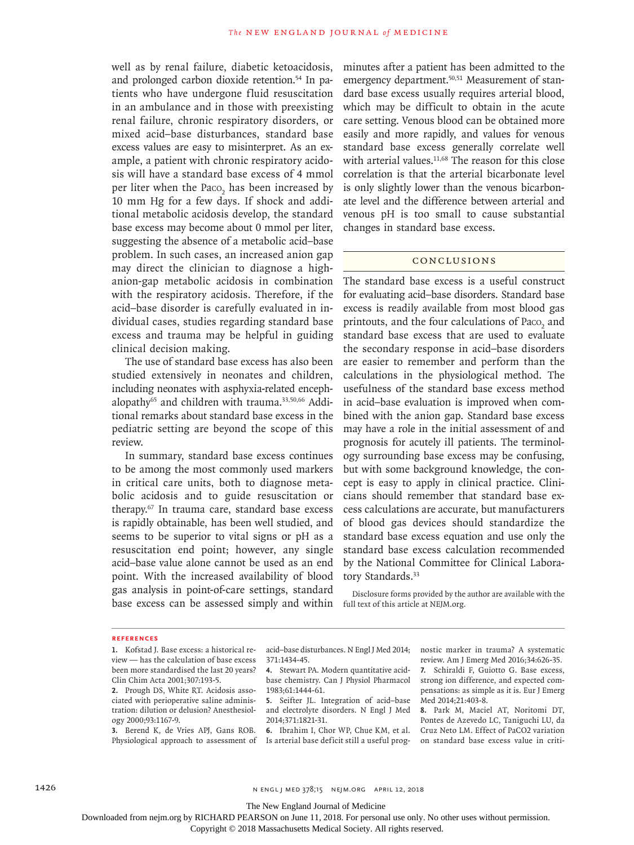well as by renal failure, diabetic ketoacidosis, and prolonged carbon dioxide retention.<sup>54</sup> In patients who have undergone fluid resuscitation in an ambulance and in those with preexisting renal failure, chronic respiratory disorders, or mixed acid–base disturbances, standard base excess values are easy to misinterpret. As an example, a patient with chronic respiratory acidosis will have a standard base excess of 4 mmol per liter when the  $Paco<sub>2</sub>$  has been increased by 10 mm Hg for a few days. If shock and additional metabolic acidosis develop, the standard base excess may become about 0 mmol per liter, suggesting the absence of a metabolic acid–base problem. In such cases, an increased anion gap may direct the clinician to diagnose a highanion-gap metabolic acidosis in combination with the respiratory acidosis. Therefore, if the acid–base disorder is carefully evaluated in individual cases, studies regarding standard base excess and trauma may be helpful in guiding clinical decision making.

The use of standard base excess has also been studied extensively in neonates and children, including neonates with asphyxia-related encephalopathy<sup>65</sup> and children with trauma.<sup>33,50,66</sup> Additional remarks about standard base excess in the pediatric setting are beyond the scope of this review.

In summary, standard base excess continues to be among the most commonly used markers in critical care units, both to diagnose metabolic acidosis and to guide resuscitation or therapy.67 In trauma care, standard base excess is rapidly obtainable, has been well studied, and seems to be superior to vital signs or pH as a resuscitation end point; however, any single acid–base value alone cannot be used as an end point. With the increased availability of blood gas analysis in point-of-care settings, standard base excess can be assessed simply and within full text of this article at NEJM.org.

minutes after a patient has been admitted to the emergency department.<sup>50,51</sup> Measurement of standard base excess usually requires arterial blood, which may be difficult to obtain in the acute care setting. Venous blood can be obtained more easily and more rapidly, and values for venous standard base excess generally correlate well with arterial values. $11,68$  The reason for this close correlation is that the arterial bicarbonate level is only slightly lower than the venous bicarbonate level and the difference between arterial and venous pH is too small to cause substantial changes in standard base excess.

## Conclusions

The standard base excess is a useful construct for evaluating acid–base disorders. Standard base excess is readily available from most blood gas printouts, and the four calculations of  $Paco<sub>2</sub>$  and standard base excess that are used to evaluate the secondary response in acid–base disorders are easier to remember and perform than the calculations in the physiological method. The usefulness of the standard base excess method in acid–base evaluation is improved when combined with the anion gap. Standard base excess may have a role in the initial assessment of and prognosis for acutely ill patients. The terminology surrounding base excess may be confusing, but with some background knowledge, the concept is easy to apply in clinical practice. Clinicians should remember that standard base excess calculations are accurate, but manufacturers of blood gas devices should standardize the standard base excess equation and use only the standard base excess calculation recommended by the National Committee for Clinical Laboratory Standards.<sup>33</sup>

Disclosure forms provided by the author are available with the

### **References**

**1.** Kofstad J. Base excess: a historical review — has the calculation of base excess been more standardised the last 20 years? Clin Chim Acta 2001;307:193-5.

**3.** Berend K, de Vries APJ, Gans ROB. Physiological approach to assessment of

acid–base disturbances. N Engl J Med 2014; 371:1434-45.

**4.** Stewart PA. Modern quantitative acidbase chemistry. Can J Physiol Pharmacol 1983;61:1444-61.

**5.** Seifter JL. Integration of acid–base and electrolyte disorders. N Engl J Med 2014;371:1821-31.

**6.** Ibrahim I, Chor WP, Chue KM, et al. Is arterial base deficit still a useful prognostic marker in trauma? A systematic review. Am J Emerg Med 2016;34:626-35. **7.** Schiraldi F, Guiotto G. Base excess, strong ion difference, and expected compensations: as simple as it is. Eur J Emerg Med 2014;21:403-8.

**8.** Park M, Maciel AT, Noritomi DT, Pontes de Azevedo LC, Taniguchi LU, da Cruz Neto LM. Effect of PaCO2 variation on standard base excess value in criti-

The New England Journal of Medicine

Downloaded from nejm.org by RICHARD PEARSON on June 11, 2018. For personal use only. No other uses without permission.

**<sup>2.</sup>** Prough DS, White RT. Acidosis associated with perioperative saline administration: dilution or delusion? Anesthesiology 2000;93:1167-9.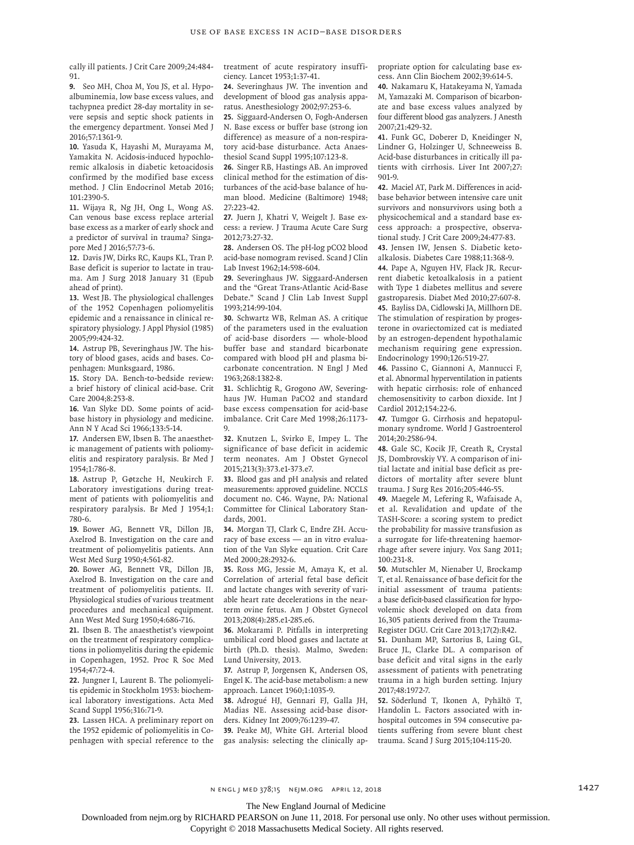cally ill patients. J Crit Care 2009;24:484- 91.

**9.** Seo MH, Choa M, You JS, et al. Hypoalbuminemia, low base excess values, and tachypnea predict 28-day mortality in severe sepsis and septic shock patients in the emergency department. Yonsei Med J 2016;57:1361-9.

**10.** Yasuda K, Hayashi M, Murayama M, Yamakita N. Acidosis-induced hypochloremic alkalosis in diabetic ketoacidosis confirmed by the modified base excess method. J Clin Endocrinol Metab 2016; 101:2390-5.

**11.** Wijaya R, Ng JH, Ong L, Wong AS. Can venous base excess replace arterial base excess as a marker of early shock and a predictor of survival in trauma? Singapore Med J 2016;57:73-6.

**12.** Davis JW, Dirks RC, Kaups KL, Tran P. Base deficit is superior to lactate in trauma. Am J Surg 2018 January 31 (Epub ahead of print).

**13.** West JB. The physiological challenges of the 1952 Copenhagen poliomyelitis epidemic and a renaissance in clinical respiratory physiology. J Appl Physiol (1985) 2005;99:424-32.

**14.** Astrup PB, Severinghaus JW. The history of blood gases, acids and bases. Copenhagen: Munksgaard, 1986.

**15.** Story DA. Bench-to-bedside review: a brief history of clinical acid-base. Crit Care 2004;8:253-8.

**16.** Van Slyke DD. Some points of acidbase history in physiology and medicine. Ann N Y Acad Sci 1966;133:5-14.

**17.** Andersen EW, Ibsen B. The anaesthetic management of patients with poliomyelitis and respiratory paralysis. Br Med J 1954;1:786-8.

**18.** Astrup P, Gøtzche H, Neukirch F. Laboratory investigations during treatment of patients with poliomyelitis and respiratory paralysis. Br Med J 1954;1: 780-6.

**19.** Bower AG, Bennett VR, Dillon JB, Axelrod B. Investigation on the care and treatment of poliomyelitis patients. Ann West Med Surg 1950;4:561-82.

**20.** Bower AG, Bennett VR, Dillon JB, Axelrod B. Investigation on the care and treatment of poliomyelitis patients. II. Physiological studies of various treatment procedures and mechanical equipment. Ann West Med Surg 1950;4:686-716.

**21.** Ibsen B. The anaesthetist's viewpoint on the treatment of respiratory complications in poliomyelitis during the epidemic in Copenhagen, 1952. Proc R Soc Med 1954;47:72-4.

**22.** Jungner I, Laurent B. The poliomyelitis epidemic in Stockholm 1953: biochemical laboratory investigations. Acta Med Scand Suppl 1956;316:71-9.

**23.** Lassen HCA. A preliminary report on the 1952 epidemic of poliomyelitis in Copenhagen with special reference to the treatment of acute respiratory insufficiency. Lancet 1953;1:37-41.

**24.** Severinghaus JW. The invention and development of blood gas analysis apparatus. Anesthesiology 2002;97:253-6.

**25.** Siggaard-Andersen O, Fogh-Andersen N. Base excess or buffer base (strong ion difference) as measure of a non-respiratory acid-base disturbance. Acta Anaesthesiol Scand Suppl 1995;107:123-8.

**26.** Singer RB, Hastings AB. An improved clinical method for the estimation of disturbances of the acid-base balance of human blood. Medicine (Baltimore) 1948; 27:223-42.

**27.** Juern J, Khatri V, Weigelt J. Base excess: a review. J Trauma Acute Care Surg 2012;73:27-32.

**28.** Andersen OS. The pH-log pCO2 blood acid-base nomogram revised. Scand J Clin Lab Invest 1962;14:598-604.

**29.** Severinghaus JW. Siggaard-Andersen and the "Great Trans-Atlantic Acid-Base Debate." Scand J Clin Lab Invest Suppl 1993;214:99-104.

**30.** Schwartz WB, Relman AS. A critique of the parameters used in the evaluation of acid-base disorders — whole-blood buffer base and standard bicarbonate compared with blood pH and plasma bicarbonate concentration. N Engl J Med 1963;268:1382-8.

**31.** Schlichtig R, Grogono AW, Severinghaus JW. Human PaCO2 and standard base excess compensation for acid-base imbalance. Crit Care Med 1998;26:1173- 9.

**32.** Knutzen L, Svirko E, Impey L. The significance of base deficit in acidemic term neonates. Am J Obstet Gynecol 2015;213(3):373.e1-373.e7.

**33.** Blood gas and pH analysis and related measurements: approved guideline. NCCLS document no. C46. Wayne, PA: National Committee for Clinical Laboratory Standards, 2001.

**34.** Morgan TJ, Clark C, Endre ZH. Accuracy of base excess — an in vitro evaluation of the Van Slyke equation. Crit Care Med 2000;28:2932-6.

**35.** Ross MG, Jessie M, Amaya K, et al. Correlation of arterial fetal base deficit and lactate changes with severity of variable heart rate decelerations in the nearterm ovine fetus. Am J Obstet Gynecol 2013;208(4):285.e1-285.e6.

**36.** Mokarami P. Pitfalls in interpreting umbilical cord blood gases and lactate at birth (Ph.D. thesis). Malmo, Sweden: Lund University, 2013.

**37.** Astrup P, Jorgensen K, Andersen OS, Engel K. The acid-base metabolism: a new approach. Lancet 1960;1:1035-9.

**38.** Adrogué HJ, Gennari FJ, Galla JH, Madias NE. Assessing acid-base disorders. Kidney Int 2009;76:1239-47.

**39.** Peake MJ, White GH. Arterial blood gas analysis: selecting the clinically appropriate option for calculating base excess. Ann Clin Biochem 2002;39:614-5.

**40.** Nakamaru K, Hatakeyama N, Yamada M, Yamazaki M. Comparison of bicarbonate and base excess values analyzed by four different blood gas analyzers. J Anesth 2007;21:429-32.

**41.** Funk GC, Doberer D, Kneidinger N, Lindner G, Holzinger U, Schneeweiss B. Acid-base disturbances in critically ill patients with cirrhosis. Liver Int 2007;27: 901-9.

**42.** Maciel AT, Park M. Differences in acidbase behavior between intensive care unit survivors and nonsurvivors using both a physicochemical and a standard base excess approach: a prospective, observational study. J Crit Care 2009;24:477-83.

**43.** Jensen IW, Jensen S. Diabetic ketoalkalosis. Diabetes Care 1988;11:368-9.

**44.** Pape A, Nguyen HV, Flack JR. Recurrent diabetic ketoalkalosis in a patient with Type 1 diabetes mellitus and severe gastroparesis. Diabet Med 2010;27:607-8. **45.** Bayliss DA, Cidlowski JA, Millhorn DE. The stimulation of respiration by progesterone in ovariectomized cat is mediated by an estrogen-dependent hypothalamic mechanism requiring gene expression. Endocrinology 1990;126:519-27.

**46.** Passino C, Giannoni A, Mannucci F, et al. Abnormal hyperventilation in patients with hepatic cirrhosis: role of enhanced chemosensitivity to carbon dioxide. Int J Cardiol 2012;154:22-6.

**47.** Tumgor G. Cirrhosis and hepatopulmonary syndrome. World J Gastroenterol 2014;20:2586-94.

**48.** Gale SC, Kocik JF, Creath R, Crystal JS, Dombrovskiy VY. A comparison of initial lactate and initial base deficit as predictors of mortality after severe blunt trauma. J Surg Res 2016;205:446-55.

**49.** Maegele M, Lefering R, Wafaisade A, et al. Revalidation and update of the TASH-Score: a scoring system to predict the probability for massive transfusion as a surrogate for life-threatening haemorrhage after severe injury. Vox Sang 2011; 100:231-8.

**50.** Mutschler M, Nienaber U, Brockamp T, et al. Renaissance of base deficit for the initial assessment of trauma patients: a base deficit-based classification for hypovolemic shock developed on data from 16,305 patients derived from the Trauma-Register DGU. Crit Care 2013;17(2):R42.

**51.** Dunham MP, Sartorius B, Laing GL, Bruce JL, Clarke DL. A comparison of base deficit and vital signs in the early assessment of patients with penetrating trauma in a high burden setting. Injury 2017;48:1972-7.

**52.** Söderlund T, Ikonen A, Pyhältö T, Handolin L. Factors associated with inhospital outcomes in 594 consecutive patients suffering from severe blunt chest trauma. Scand J Surg 2015;104:115-20.

The New England Journal of Medicine

Downloaded from nejm.org by RICHARD PEARSON on June 11, 2018. For personal use only. No other uses without permission.